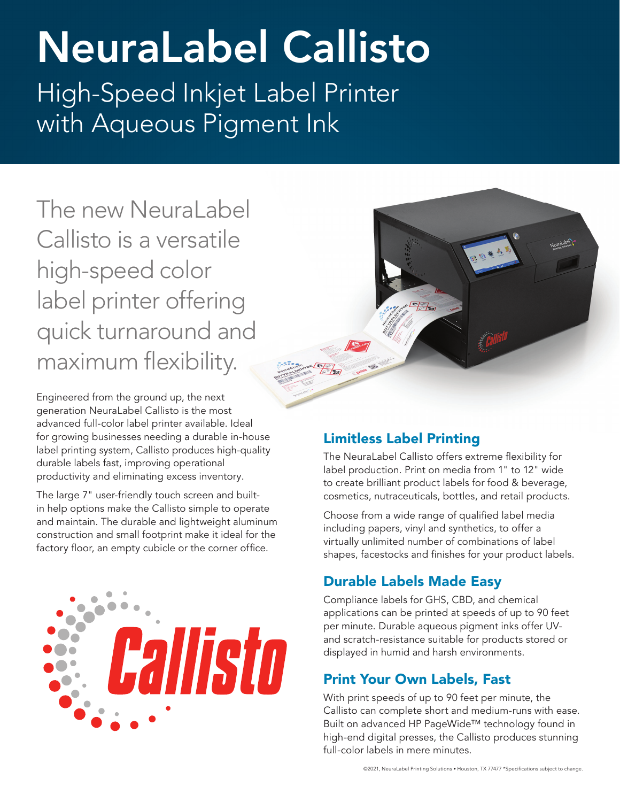# NeuraLabel Callisto

High-Speed Inkjet Label Printer with Aqueous Pigment Ink

The new NeuraLabel Callisto is a versatile high-speed color label printer offering quick turnaround and maximum flexibility.

Engineered from the ground up, the next generation NeuraLabel Callisto is the most advanced full-color label printer available. Ideal for growing businesses needing a durable in-house label printing system, Callisto produces high-quality durable labels fast, improving operational productivity and eliminating excess inventory.

The large 7" user-friendly touch screen and builtin help options make the Callisto simple to operate and maintain. The durable and lightweight aluminum construction and small footprint make it ideal for the factory floor, an empty cubicle or the corner office.





### Limitless Label Printing

The NeuraLabel Callisto offers extreme flexibility for label production. Print on media from 1" to 12" wide to create brilliant product labels for food & beverage, cosmetics, nutraceuticals, bottles, and retail products.

Choose from a wide range of qualified label media including papers, vinyl and synthetics, to offer a virtually unlimited number of combinations of label shapes, facestocks and finishes for your product labels.

## Durable Labels Made Easy

Compliance labels for GHS, CBD, and chemical applications can be printed at speeds of up to 90 feet per minute. Durable aqueous pigment inks offer UVand scratch-resistance suitable for products stored or displayed in humid and harsh environments.

#### Print Your Own Labels, Fast

With print speeds of up to 90 feet per minute, the Callisto can complete short and medium-runs with ease. Built on advanced HP PageWide™ technology found in high-end digital presses, the Callisto produces stunning full-color labels in mere minutes.